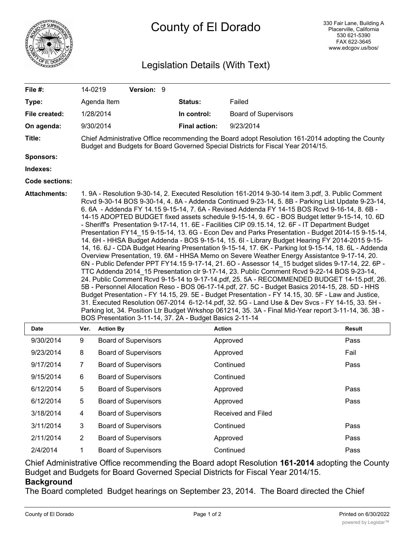

## County of El Dorado

## Legislation Details (With Text)

| File #:               | 14-0219                                                                                                                                                                                                                                                                                                                                                                                                                                                                                                                                                                                                                                                                                                                                                                                                                                                                                                                                                                                                                                                                                                                                                                                                                                                                                                                                                                                                                                                                                                                                                                                                                                                                                                  |                             | Version: 9                  |                      |             |                           |                             |               |
|-----------------------|----------------------------------------------------------------------------------------------------------------------------------------------------------------------------------------------------------------------------------------------------------------------------------------------------------------------------------------------------------------------------------------------------------------------------------------------------------------------------------------------------------------------------------------------------------------------------------------------------------------------------------------------------------------------------------------------------------------------------------------------------------------------------------------------------------------------------------------------------------------------------------------------------------------------------------------------------------------------------------------------------------------------------------------------------------------------------------------------------------------------------------------------------------------------------------------------------------------------------------------------------------------------------------------------------------------------------------------------------------------------------------------------------------------------------------------------------------------------------------------------------------------------------------------------------------------------------------------------------------------------------------------------------------------------------------------------------------|-----------------------------|-----------------------------|----------------------|-------------|---------------------------|-----------------------------|---------------|
| Type:                 |                                                                                                                                                                                                                                                                                                                                                                                                                                                                                                                                                                                                                                                                                                                                                                                                                                                                                                                                                                                                                                                                                                                                                                                                                                                                                                                                                                                                                                                                                                                                                                                                                                                                                                          | Agenda Item                 |                             |                      | Status:     |                           | Failed                      |               |
| File created:         |                                                                                                                                                                                                                                                                                                                                                                                                                                                                                                                                                                                                                                                                                                                                                                                                                                                                                                                                                                                                                                                                                                                                                                                                                                                                                                                                                                                                                                                                                                                                                                                                                                                                                                          | 1/28/2014                   |                             |                      | In control: |                           | <b>Board of Supervisors</b> |               |
| On agenda:            |                                                                                                                                                                                                                                                                                                                                                                                                                                                                                                                                                                                                                                                                                                                                                                                                                                                                                                                                                                                                                                                                                                                                                                                                                                                                                                                                                                                                                                                                                                                                                                                                                                                                                                          | 9/30/2014                   |                             | <b>Final action:</b> |             | 9/23/2014                 |                             |               |
| Title:                | Chief Administrative Office recommending the Board adopt Resolution 161-2014 adopting the County<br>Budget and Budgets for Board Governed Special Districts for Fiscal Year 2014/15.                                                                                                                                                                                                                                                                                                                                                                                                                                                                                                                                                                                                                                                                                                                                                                                                                                                                                                                                                                                                                                                                                                                                                                                                                                                                                                                                                                                                                                                                                                                     |                             |                             |                      |             |                           |                             |               |
| <b>Sponsors:</b>      |                                                                                                                                                                                                                                                                                                                                                                                                                                                                                                                                                                                                                                                                                                                                                                                                                                                                                                                                                                                                                                                                                                                                                                                                                                                                                                                                                                                                                                                                                                                                                                                                                                                                                                          |                             |                             |                      |             |                           |                             |               |
| Indexes:              |                                                                                                                                                                                                                                                                                                                                                                                                                                                                                                                                                                                                                                                                                                                                                                                                                                                                                                                                                                                                                                                                                                                                                                                                                                                                                                                                                                                                                                                                                                                                                                                                                                                                                                          |                             |                             |                      |             |                           |                             |               |
| <b>Code sections:</b> |                                                                                                                                                                                                                                                                                                                                                                                                                                                                                                                                                                                                                                                                                                                                                                                                                                                                                                                                                                                                                                                                                                                                                                                                                                                                                                                                                                                                                                                                                                                                                                                                                                                                                                          |                             |                             |                      |             |                           |                             |               |
| <b>Attachments:</b>   | 1. 9A - Resolution 9-30-14, 2. Executed Resolution 161-2014 9-30-14 item 3.pdf, 3. Public Comment<br>Rcvd 9-30-14 BOS 9-30-14, 4. 8A - Addenda Continued 9-23-14, 5. 8B - Parking List Update 9-23-14,<br>6.6A - Addenda FY 14.15 9-15-14, 7.6A - Revised Addenda FY 14-15 BOS Rcvd 9-16-14, 8.6B -<br>14-15 ADOPTED BUDGET fixed assets schedule 9-15-14, 9. 6C - BOS Budget letter 9-15-14, 10. 6D<br>- Sheriff's Presentation 9-17-14, 11. 6E - Facilities CIP 09.15.14, 12. 6F - IT Department Budget<br>Presentation FY14 15 9-15-14, 13. 6G - Econ Dev and Parks Presentation - Budget 2014-15 9-15-14,<br>14. 6H - HHSA Budget Addenda - BOS 9-15-14, 15. 6I - Library Budget Hearing FY 2014-2015 9-15-<br>14, 16. 6J - CDA Budget Hearing Presentation 9-15-14, 17. 6K - Parking lot 9-15-14, 18. 6L - Addenda<br>Overview Presentation, 19. 6M - HHSA Memo on Severe Weather Energy Assistantce 9-17-14, 20.<br>6N - Public Defender PPT FY14.15 9-17-14, 21. 6O - Assessor 14_15 budget slides 9-17-14, 22. 6P -<br>TTC Addenda 2014_15 Presentation clr 9-17-14, 23. Public Comment Rcvd 9-22-14 BOS 9-23-14,<br>24. Public Comment Rcvd 9-15-14 to 9-17-14.pdf, 25. 5A - RECOMMENDED BUDGET 14-15.pdf, 26.<br>5B - Personnel Allocation Reso - BOS 06-17-14.pdf, 27. 5C - Budget Basics 2014-15, 28. 5D - HHS<br>Budget Presentation - FY 14.15, 29. 5E - Budget Presentation - FY 14.15, 30. 5F - Law and Justice,<br>31. Executed Resolution 067-2014 6-12-14.pdf, 32. 5G - Land Use & Dev Svcs - FY 14-15, 33. 5H -<br>Parking lot, 34. Position Ltr Budget Wrkshop 061214, 35. 3A - Final Mid-Year report 3-11-14, 36. 3B -<br>BOS Presentation 3-11-14, 37. 2A - Budget Basics 2-11-14 |                             |                             |                      |             |                           |                             |               |
| <b>Date</b>           | Ver.                                                                                                                                                                                                                                                                                                                                                                                                                                                                                                                                                                                                                                                                                                                                                                                                                                                                                                                                                                                                                                                                                                                                                                                                                                                                                                                                                                                                                                                                                                                                                                                                                                                                                                     | <b>Action By</b>            |                             |                      |             | <b>Action</b>             |                             | <b>Result</b> |
| 9/30/2014             | 9                                                                                                                                                                                                                                                                                                                                                                                                                                                                                                                                                                                                                                                                                                                                                                                                                                                                                                                                                                                                                                                                                                                                                                                                                                                                                                                                                                                                                                                                                                                                                                                                                                                                                                        |                             | <b>Board of Supervisors</b> |                      |             | Approved                  |                             | Pass          |
| 9/23/2014             | 8                                                                                                                                                                                                                                                                                                                                                                                                                                                                                                                                                                                                                                                                                                                                                                                                                                                                                                                                                                                                                                                                                                                                                                                                                                                                                                                                                                                                                                                                                                                                                                                                                                                                                                        |                             | <b>Board of Supervisors</b> |                      |             | Approved                  |                             | Fail          |
| 9/17/2014             | 7                                                                                                                                                                                                                                                                                                                                                                                                                                                                                                                                                                                                                                                                                                                                                                                                                                                                                                                                                                                                                                                                                                                                                                                                                                                                                                                                                                                                                                                                                                                                                                                                                                                                                                        | <b>Board of Supervisors</b> |                             |                      | Continued   |                           | Pass                        |               |
| 9/15/2014             | 6                                                                                                                                                                                                                                                                                                                                                                                                                                                                                                                                                                                                                                                                                                                                                                                                                                                                                                                                                                                                                                                                                                                                                                                                                                                                                                                                                                                                                                                                                                                                                                                                                                                                                                        | <b>Board of Supervisors</b> |                             |                      | Continued   |                           |                             |               |
| 6/12/2014             | 5                                                                                                                                                                                                                                                                                                                                                                                                                                                                                                                                                                                                                                                                                                                                                                                                                                                                                                                                                                                                                                                                                                                                                                                                                                                                                                                                                                                                                                                                                                                                                                                                                                                                                                        |                             | <b>Board of Supervisors</b> |                      |             | Approved                  |                             | Pass          |
| 6/12/2014             | 5                                                                                                                                                                                                                                                                                                                                                                                                                                                                                                                                                                                                                                                                                                                                                                                                                                                                                                                                                                                                                                                                                                                                                                                                                                                                                                                                                                                                                                                                                                                                                                                                                                                                                                        | <b>Board of Supervisors</b> |                             |                      | Approved    |                           | Pass                        |               |
| 3/18/2014             | 4                                                                                                                                                                                                                                                                                                                                                                                                                                                                                                                                                                                                                                                                                                                                                                                                                                                                                                                                                                                                                                                                                                                                                                                                                                                                                                                                                                                                                                                                                                                                                                                                                                                                                                        |                             | <b>Board of Supervisors</b> |                      |             | <b>Received and Filed</b> |                             |               |
| 3/11/2014             | 3                                                                                                                                                                                                                                                                                                                                                                                                                                                                                                                                                                                                                                                                                                                                                                                                                                                                                                                                                                                                                                                                                                                                                                                                                                                                                                                                                                                                                                                                                                                                                                                                                                                                                                        | <b>Board of Supervisors</b> |                             |                      | Continued   |                           | Pass                        |               |

Chief Administrative Office recommending the Board adopt Resolution **161-2014** adopting the County Budget and Budgets for Board Governed Special Districts for Fiscal Year 2014/15.

## **Background**

The Board completed Budget hearings on September 23, 2014. The Board directed the Chief

2/11/2014 2 Board of Supervisors Approved Approved Pass 2/4/2014 1 Board of Supervisors Continued Pass